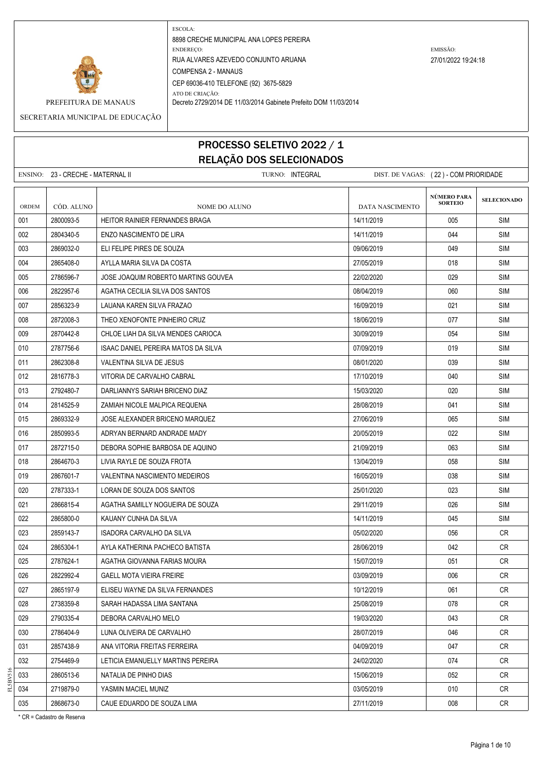

PREFEITURA DE MANAUS Decreto 2729/2014 DE 11/03/2014 Gabinete Prefeito DOM 11/03/2014

SECRETARIA MUNICIPAL DE EDUCAÇÃO

# PROCESSO SELETIVO 2022 / 1 RELAÇÃO DOS SELECIONADOS

ENSINO: 23 - CRECHE - MATERNAL II TURNO: INTEGRAL DIST. DE VAGAS: ( 22 ) - COM PRIORIDADE **SELECIONADO** ORDEM CÓD. ALUNO **NOME DO ALUNO** NOME DO ALUNO DATA NASCIMENTO 001 2800093-5 HEITOR RAINIER FERNANDES BRAGA 14/11/2019 SIM 002 2804340-5 ENZO NASCIMENTO DE LIRA 14/11/2019 14/11/2019 14/11/2019 14/11/2019 ISIM 003 2869032-0 ELI FELIPE PIRES DE SOUZA 09/06/2019 SIM 004 2865408-0 AYLLA MARIA SILVA DA COSTA 27/05/2019 27/05/2019 1018 SIM 005 2786596-7 JOSE JOAQUIM ROBERTO MARTINS GOUVEA 22/02/2020 029 SIM 006 2822957-6 AGATHA CECILIA SILVA DOS SANTOS 08/04/2019 SIM 007 2856323-9 LAUANA KAREN SILVA FRAZAO 1609/2019 | 16/09/2019 | 16/09/2019 | 21 | SIM 008 2872008-3 THEO XENOFONTE PINHEIRO CRUZ 18/06/2019 18/06/2019 207 SIM 009 2870442-8 CHLOE LIAH DA SILVA MENDES CARIOCA 30/09/2019 054 SIM 010 2787756-6 ISAAC DANIEL PEREIRA MATOS DA SILVA 07/09/2019 019 SIM 011 2862308-8 VALENTINA SILVA DE JESUS 08/01/2020 039 SIM 012 2816778-3 VITORIA DE CARVALHO CABRAL 17 11 11/10/2019 17/10/2019 040 SIM 013 2792480-7 DARLIANNYS SARIAH BRICENO DIAZ 15/03/2020 | 15/03/2020 | 020 | SIM 014 2814525-9 ZAMIAH NICOLE MALPICA REQUENA 28/08/2019 28/08/2019 28/08/2019 941 SIM 015 2869332-9 JOSE ALEXANDER BRICENO MARQUEZ 27/06/2019 27/06/2019 2065 SIM 016 2850993-5 ADRYAN BERNARD ANDRADE MADY 20/05/2019 022 SIM 017 21/09/2019 | 21/09/2019 | 21/09/2019 | 21/09/2019 | 063 | SIM 018 2864670-3 LIVIA RAYLE DE SOUZA FROTA 13/04/2019 058 SIM 019 2867601-7 VALENTINA NASCIMENTO MEDEIROS 16/05/2019 038 SIM 020 2787333-1 LORAN DE SOUZA DOS SANTOS 25/01/2020 023 SIM 021 2866815-4 AGATHA SAMILLY NOGUEIRA DE SOUZA 29/11/2019 SIM 022 2865800-0 KAUANY CUNHA DA SILVA 14/11/2019 | 14/11/2019 | 14/11/2019 | 14/5 | SIM 023 2859143-7 ISADORA CARVALHO DA SILVA 05/02/2020 056 CR 024 2865304-1 AYLA KATHERINA PACHECO BATISTA 28/06/2019 28/06/2019 28/06/2019 042 CR 025 2787624-1 | AGATHA GIOVANNA FARIAS MOURA 1507/2019 | 15/07/2019 | 15/07/2019 | 051 | CR 026 2822992-4 GAELL MOTA VIEIRA FREIRE 03/09/2019 006 CR 027 2865197-9 ELISEU WAYNE DA SILVA FERNANDES NATURAL SERIES NATURAL 10/12/2019 10/10 O61 CR 028 2738359-8 SARAH HADASSA LIMA SANTANA 25 AMBEE 25/08/2019 - 25/08/2019 078 CR 029 2790335-4 DEBORA CARVALHO MELO 19/03/2020 19/03/2020 20:00 043 CR 030 2786404-9 LUNA OLIVEIRA DE CARVALHO 28/07/2019 046 CR 031 2857438-9 ANA VITORIA FREITAS FERREIRA 04/09/2019 047 CR 032 2754469-9 LETICIA EMANUELLY MARTINS PEREIRA 24/02/2020 200 24/02/2020 2754469-9 LETICIA EMANUELLY MARTINS PEREIRA 033 2860513-6 NATALIA DE PINHO DIAS 15/06/2019 CR 034 2719879-0 YASMIN MACIEL MUNIZ 03/05/2019 010 CR 035 2868673-0 CAUE EDUARDO DE SOUZA LIMA 27 27/11/2019 | 008 | CR **NÚMERO PARA SORTEIO**

\* CR = Cadastro de Reserva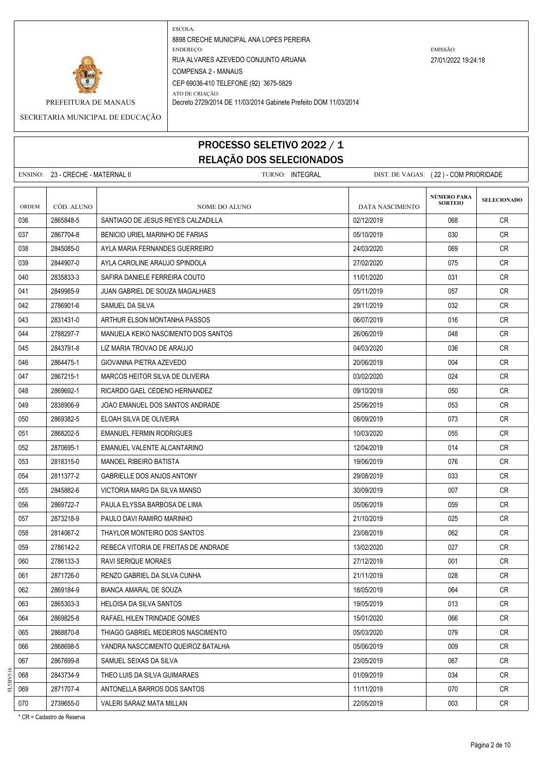

PREFEITURA DE MANAUS Decreto 2729/2014 DE 11/03/2014 Gabinete Prefeito DOM 11/03/2014

SECRETARIA MUNICIPAL DE EDUCAÇÃO

# PROCESSO SELETIVO 2022 / 1 RELAÇÃO DOS SELECIONADOS

|       | ENSINO: 23 - CRECHE - MATERNAL II | TURNO: INTEGRAL                      | DIST. DE VAGAS: (22) - COM PRIORIDADE |                                      |                    |
|-------|-----------------------------------|--------------------------------------|---------------------------------------|--------------------------------------|--------------------|
| ORDEM | CÓD. ALUNO                        | NOME DO ALUNO                        | DATA NASCIMENTO                       | <b>NÚMERO PARA</b><br><b>SORTEIO</b> | <b>SELECIONADO</b> |
| 036   | 2865848-5                         | SANTIAGO DE JESUS REYES CALZADILLA   | 02/12/2019                            | 068                                  | CR                 |
| 037   | 2867704-8                         | BENICIO URIEL MARINHO DE FARIAS      | 05/10/2019                            | 030                                  | CR.                |
| 038   | 2845085-0                         | AYLA MARIA FERNANDES GUERREIRO       | 24/03/2020                            | 069                                  | <b>CR</b>          |
| 039   | 2844907-0                         | AYLA CAROLINE ARAUJO SPINDOLA        | 27/02/2020                            | 075                                  | <b>CR</b>          |
| 040   | 2835833-3                         | SAFIRA DANIELE FERREIRA COUTO        | 11/01/2020                            | 031                                  | CR.                |
| 041   | 2849985-9                         | JUAN GABRIEL DE SOUZA MAGALHAES      | 05/11/2019                            | 057                                  | <b>CR</b>          |
| 042   | 2786901-6                         | SAMUEL DA SILVA                      | 29/11/2019                            | 032                                  | <b>CR</b>          |
| 043   | 2831431-0                         | ARTHUR ELSON MONTANHA PASSOS         | 06/07/2019                            | 016                                  | CR.                |
| 044   | 2788297-7                         | MANUELA KEIKO NASCIMENTO DOS SANTOS  | 26/06/2019                            | 048                                  | <b>CR</b>          |
| 045   | 2843791-8                         | LIZ MARIA TROVAO DE ARAUJO           | 04/03/2020                            | 036                                  | CR                 |
| 046   | 2864475-1                         | GIOVANNA PIETRA AZEVEDO              | 20/06/2019                            | 004                                  | CR                 |
| 047   | 2867215-1                         | MARCOS HEITOR SILVA DE OLIVEIRA      | 03/02/2020                            | 024                                  | CR.                |
| 048   | 2869692-1                         | RICARDO GAEL CEDENO HERNANDEZ        | 09/10/2019                            | 050                                  | CR                 |
| 049   | 2838906-9                         | JOAO EMANUEL DOS SANTOS ANDRADE      | 25/06/2019                            | 053                                  | CR                 |
| 050   | 2869382-5                         | ELOAH SILVA DE OLIVEIRA              | 08/09/2019                            | 073                                  | <b>CR</b>          |
| 051   | 2868202-5                         | <b>EMANUEL FERMIN RODRIGUES</b>      | 10/03/2020                            | 055                                  | <b>CR</b>          |
| 052   | 2870695-1                         | EMANUEL VALENTE ALCANTARINO          | 12/04/2019                            | 014                                  | <b>CR</b>          |
| 053   | 2818315-0                         | MANOEL RIBEIRO BATISTA               | 19/06/2019                            | 076                                  | CR                 |
| 054   | 2811377-2                         | GABRIELLE DOS ANJOS ANTONY           | 29/08/2019                            | 033                                  | <b>CR</b>          |
| 055   | 2845882-6                         | VICTORIA MARG DA SILVA MANSO         | 30/09/2019                            | 007                                  | <b>CR</b>          |
| 056   | 2869722-7                         | PAULA ELYSSA BARBOSA DE LIMA         | 05/06/2019                            | 059                                  | <b>CR</b>          |
| 057   | 2873218-9                         | PAULO DAVI RAMIRO MARINHO            | 21/10/2019                            | 025                                  | CR                 |
| 058   | 2814067-2                         | THAYLOR MONTEIRO DOS SANTOS          | 23/08/2019                            | 062                                  | CR                 |
| 059   | 2786142-2                         | REBECA VITORIA DE FREITAS DE ANDRADE | 13/02/2020                            | 027                                  | CR                 |
| 060   | 2786133-3                         | <b>RAVI SERIQUE MORAES</b>           | 27/12/2019                            | 001                                  | CR                 |
| 061   | 2871726-0                         | RENZO GABRIEL DA SILVA CUNHA         | 21/11/2019                            | 028                                  | <b>CR</b>          |
| 062   | 2869184-9                         | <b>BIANCA AMARAL DE SOUZA</b>        | 18/05/2019                            | 064                                  | <b>CR</b>          |
| 063   | 2865303-3                         | <b>HELOISA DA SILVA SANTOS</b>       | 19/05/2019                            | 013                                  | CR                 |
| 064   | 2869825-8                         | RAFAEL HILEN TRINDADE GOMES          | 15/01/2020                            | 066                                  | <b>CR</b>          |
| 065   | 2868870-8                         | THIAGO GABRIEL MEDEIROS NASCIMENTO   | 05/03/2020                            | 079                                  | CR                 |
| 066   | 2868698-5                         | YANDRA NASCCIMENTO QUEIROZ BATALHA   | 05/06/2019                            | 009                                  | CR                 |
| 067   | 2867699-8                         | SAMUEL SEIXAS DA SILVA               | 23/05/2019                            | 067                                  | <b>CR</b>          |
| 068   | 2843734-9                         | THEO LUIS DA SILVA GUIMARAES         | 01/09/2019                            | 034                                  | CR                 |
| 069   | 2871707-4                         | ANTONELLA BARROS DOS SANTOS          | 11/11/2019                            | 070                                  | CR                 |
| 070   | 2739655-0                         | VALERI SARAIZ MATA MILLAN            | 22/05/2019                            | 003                                  | CR                 |

\* CR = Cadastro de Reserva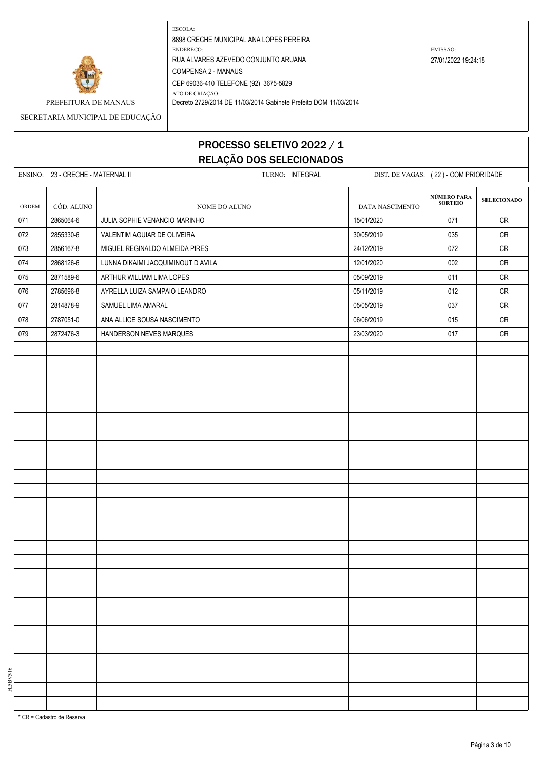

PREFEITURA DE MANAUS Decreto 2729/2014 DE 11/03/2014 Gabinete Prefeito DOM 11/03/2014

SECRETARIA MUNICIPAL DE EDUCAÇÃO

# PROCESSO SELETIVO 2022 / 1 RELAÇÃO DOS SELECIONADOS

|       | ENSINO: 23 - CRECHE - MATERNAL II |                                    | TURNO: INTEGRAL | DIST. DE VAGAS: (22) - COM PRIORIDADE |                               |                    |
|-------|-----------------------------------|------------------------------------|-----------------|---------------------------------------|-------------------------------|--------------------|
| ORDEM | CÓD. ALUNO                        | NOME DO ALUNO                      |                 | <b>DATA NASCIMENTO</b>                | NÚMERO PARA<br><b>SORTEIO</b> | <b>SELECIONADO</b> |
| 071   | 2865064-6                         | JULIA SOPHIE VENANCIO MARINHO      |                 | 15/01/2020                            | 071                           | ${\sf CR}$         |
| 072   | 2855330-6                         | VALENTIM AGUIAR DE OLIVEIRA        |                 | 30/05/2019                            | 035                           | ${\sf CR}$         |
| 073   | 2856167-8                         | MIGUEL REGINALDO ALMEIDA PIRES     |                 | 24/12/2019                            | 072                           | ${\sf CR}$         |
| 074   | 2868126-6                         | LUNNA DIKAIMI JACQUIMINOUT D AVILA |                 | 12/01/2020                            | 002                           | ${\sf CR}$         |
| 075   | 2871589-6                         | ARTHUR WILLIAM LIMA LOPES          |                 | 05/09/2019                            | 011                           | ${\sf CR}$         |
| 076   | 2785696-8                         | AYRELLA LUIZA SAMPAIO LEANDRO      |                 | 05/11/2019                            | 012                           | ${\sf CR}$         |
| 077   | 2814878-9                         | SAMUEL LIMA AMARAL                 |                 | 05/05/2019                            | 037                           | ${\sf CR}$         |
| 078   | 2787051-0                         | ANA ALLICE SOUSA NASCIMENTO        |                 | 06/06/2019                            | 015                           | ${\sf CR}$         |
| 079   | 2872476-3                         | HANDERSON NEVES MARQUES            |                 | 23/03/2020                            | 017                           | ${\sf CR}$         |
|       |                                   |                                    |                 |                                       |                               |                    |
|       |                                   |                                    |                 |                                       |                               |                    |
|       |                                   |                                    |                 |                                       |                               |                    |
|       |                                   |                                    |                 |                                       |                               |                    |
|       |                                   |                                    |                 |                                       |                               |                    |
|       |                                   |                                    |                 |                                       |                               |                    |
|       |                                   |                                    |                 |                                       |                               |                    |
|       |                                   |                                    |                 |                                       |                               |                    |
|       |                                   |                                    |                 |                                       |                               |                    |
|       |                                   |                                    |                 |                                       |                               |                    |
|       |                                   |                                    |                 |                                       |                               |                    |
|       |                                   |                                    |                 |                                       |                               |                    |
|       |                                   |                                    |                 |                                       |                               |                    |
|       |                                   |                                    |                 |                                       |                               |                    |
|       |                                   |                                    |                 |                                       |                               |                    |
|       |                                   |                                    |                 |                                       |                               |                    |
|       |                                   |                                    |                 |                                       |                               |                    |
|       |                                   |                                    |                 |                                       |                               |                    |
|       |                                   |                                    |                 |                                       |                               |                    |
|       |                                   |                                    |                 |                                       |                               |                    |
|       |                                   |                                    |                 |                                       |                               |                    |
|       |                                   |                                    |                 |                                       |                               |                    |
|       |                                   |                                    |                 |                                       |                               |                    |
|       |                                   |                                    |                 |                                       |                               |                    |
|       |                                   |                                    |                 |                                       |                               |                    |
|       |                                   |                                    |                 |                                       |                               |                    |

\* CR = Cadastro de Reserva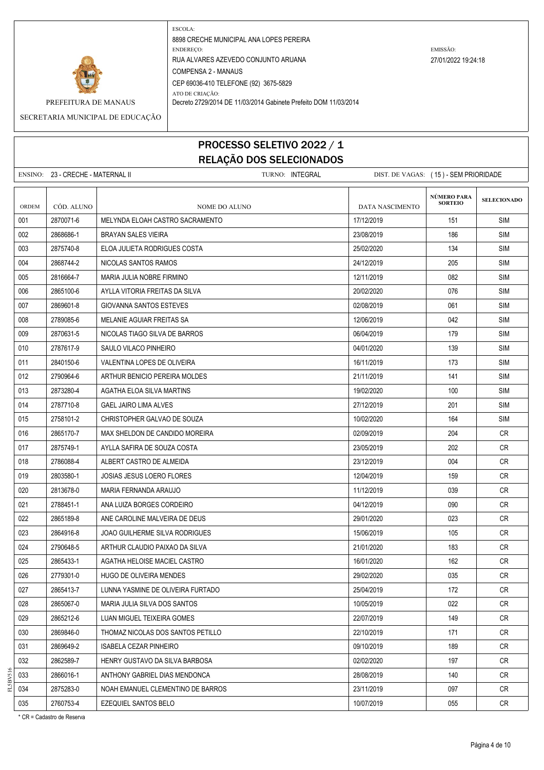

PREFEITURA DE MANAUS Decreto 2729/2014 DE 11/03/2014 Gabinete Prefeito DOM 11/03/2014

SECRETARIA MUNICIPAL DE EDUCAÇÃO

# PROCESSO SELETIVO 2022 / 1 RELAÇÃO DOS SELECIONADOS

|              | ENSINO: 23 - CRECHE - MATERNAL II |                                       | TURNO: INTEGRAL | DIST. DE VAGAS: (15) - SEM PRIORIDADE |                               |                    |
|--------------|-----------------------------------|---------------------------------------|-----------------|---------------------------------------|-------------------------------|--------------------|
| <b>ORDEM</b> | CÓD. ALUNO                        | NOME DO ALUNO                         |                 | <b>DATA NASCIMENTO</b>                | NÚMERO PARA<br><b>SORTEIO</b> | <b>SELECIONADO</b> |
| 001          | 2870071-6                         | MELYNDA ELOAH CASTRO SACRAMENTO       |                 | 17/12/2019                            | 151                           | <b>SIM</b>         |
| 002          | 2868686-1                         | <b>BRAYAN SALES VIEIRA</b>            |                 | 23/08/2019                            | 186                           | <b>SIM</b>         |
| 003          | 2875740-8                         | ELOA JULIETA RODRIGUES COSTA          |                 | 25/02/2020                            | 134                           | <b>SIM</b>         |
| 004          | 2868744-2                         | NICOLAS SANTOS RAMOS                  |                 | 24/12/2019                            | 205                           | <b>SIM</b>         |
| 005          | 2816664-7                         | MARIA JULIA NOBRE FIRMINO             |                 | 12/11/2019                            | 082                           | SIM                |
| 006          | 2865100-6                         | AYLLA VITORIA FREITAS DA SILVA        |                 | 20/02/2020                            | 076                           | <b>SIM</b>         |
| 007          | 2869601-8                         | GIOVANNA SANTOS ESTEVES               |                 | 02/08/2019                            | 061                           | <b>SIM</b>         |
| 008          | 2789085-6                         | MELANIE AGUIAR FREITAS SA             |                 | 12/06/2019                            | 042                           | SIM                |
| 009          | 2870631-5                         | NICOLAS TIAGO SILVA DE BARROS         |                 | 06/04/2019                            | 179                           | <b>SIM</b>         |
| 010          | 2787617-9                         | SAULO VILACO PINHEIRO                 |                 | 04/01/2020                            | 139                           | <b>SIM</b>         |
| 011          | 2840150-6                         | VALENTINA LOPES DE OLIVEIRA           |                 | 16/11/2019                            | 173                           | <b>SIM</b>         |
| 012          | 2790964-6                         | ARTHUR BENICIO PEREIRA MOLDES         |                 | 21/11/2019                            | 141                           | SIM                |
| 013          | 2873280-4                         | AGATHA ELOA SILVA MARTINS             |                 | 19/02/2020                            | 100                           | SIM                |
| 014          | 2787710-8                         | <b>GAEL JAIRO LIMA ALVES</b>          |                 | 27/12/2019                            | 201                           | <b>SIM</b>         |
| 015          | 2758101-2                         | CHRISTOPHER GALVAO DE SOUZA           |                 | 10/02/2020                            | 164                           | <b>SIM</b>         |
| 016          | 2865170-7                         | MAX SHELDON DE CANDIDO MOREIRA        |                 | 02/09/2019                            | 204                           | <b>CR</b>          |
| 017          | 2875749-1                         | AYLLA SAFIRA DE SOUZA COSTA           |                 | 23/05/2019                            | 202                           | CR.                |
| 018          | 2786088-4                         | ALBERT CASTRO DE ALMEIDA              |                 | 23/12/2019                            | 004                           | CR                 |
| 019          | 2803580-1                         | JOSIAS JESUS LOERO FLORES             |                 | 12/04/2019                            | 159                           | <b>CR</b>          |
| 020          | 2813678-0                         | MARIA FERNANDA ARAUJO                 |                 | 11/12/2019                            | 039                           | CR.                |
| 021          | 2788451-1                         | ANA LUIZA BORGES CORDEIRO             |                 | 04/12/2019                            | 090                           | <b>CR</b>          |
| 022          | 2865189-8                         | ANE CAROLINE MALVEIRA DE DEUS         |                 | 29/01/2020                            | 023                           | CR                 |
| 023          | 2864916-8                         | <b>JOAO GUILHERME SILVA RODRIGUES</b> |                 | 15/06/2019                            | 105                           | CR.                |
| 024          | 2790648-5                         | ARTHUR CLAUDIO PAIXAO DA SILVA        |                 | 21/01/2020                            | 183                           | CR                 |
| 025          | 2865433-1                         | AGATHA HELOISE MACIEL CASTRO          |                 | 16/01/2020                            | 162                           | CR                 |
| 026          | 2779301-0                         | <b>HUGO DE OLIVEIRA MENDES</b>        |                 | 29/02/2020                            | 035                           | <b>CR</b>          |
| 027          | 2865413-7                         | LUNNA YASMINE DE OLIVEIRA FURTADO     |                 | 25/04/2019                            | 172                           | <b>CR</b>          |
| 028          | 2865067-0                         | MARIA JULIA SILVA DOS SANTOS          |                 | 10/05/2019                            | 022                           | CR                 |
| 029          | 2865212-6                         | LUAN MIGUEL TEIXEIRA GOMES            |                 | 22/07/2019                            | 149                           | <b>CR</b>          |
| 030          | 2869846-0                         | THOMAZ NICOLAS DOS SANTOS PETILLO     |                 | 22/10/2019                            | 171                           | CR                 |
| 031          | 2869649-2                         | ISABELA CEZAR PINHEIRO                |                 | 09/10/2019                            | 189                           | CR                 |
| 032          | 2862589-7                         | HENRY GUSTAVO DA SILVA BARBOSA        |                 | 02/02/2020                            | 197                           | <b>CR</b>          |
| 033          | 2866016-1                         | ANTHONY GABRIEL DIAS MENDONCA         |                 | 28/08/2019                            | 140                           | CR                 |
| 034          | 2875283-0                         | NOAH EMANUEL CLEMENTINO DE BARROS     |                 | 23/11/2019                            | 097                           | CR                 |
| 035          | 2760753-4                         | EZEQUIEL SANTOS BELO                  |                 | 10/07/2019                            | 055                           | CR                 |

\* CR = Cadastro de Reserva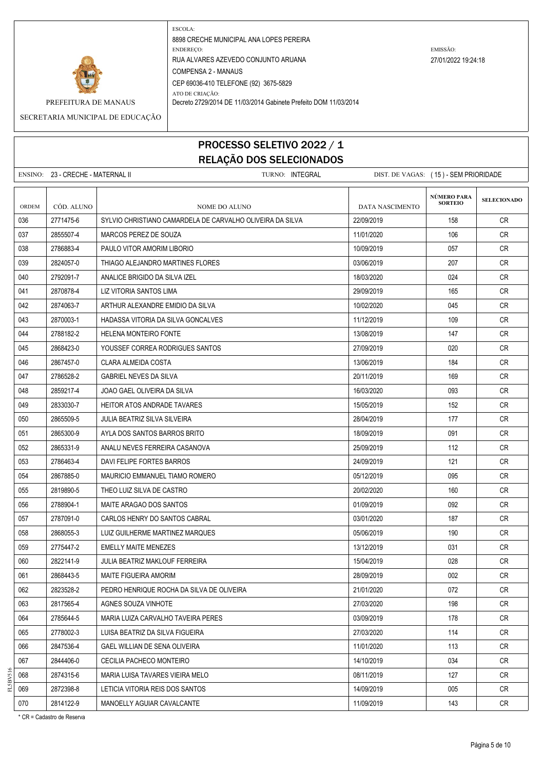

PREFEITURA DE MANAUS Decreto 2729/2014 DE 11/03/2014 Gabinete Prefeito DOM 11/03/2014

SECRETARIA MUNICIPAL DE EDUCAÇÃO

# PROCESSO SELETIVO 2022 / 1 RELAÇÃO DOS SELECIONADOS

|              | ENSINO: 23 - CRECHE - MATERNAL II | TURNO: INTEGRAL                                           | DIST. DE VAGAS: (15) - SEM PRIORIDADE |                               |                    |
|--------------|-----------------------------------|-----------------------------------------------------------|---------------------------------------|-------------------------------|--------------------|
| <b>ORDEM</b> | CÓD. ALUNO                        | NOME DO ALUNO                                             | DATA NASCIMENTO                       | NÚMERO PARA<br><b>SORTEIO</b> | <b>SELECIONADO</b> |
| 036          | 2771475-6                         | SYLVIO CHRISTIANO CAMARDELA DE CARVALHO OLIVEIRA DA SILVA | 22/09/2019                            | 158                           | CR.                |
| 037          | 2855507-4                         | MARCOS PEREZ DE SOUZA                                     | 11/01/2020                            | 106                           | CR.                |
| 038          | 2786883-4                         | PAULO VITOR AMORIM LIBORIO                                | 10/09/2019                            | 057                           | CR.                |
| 039          | 2824057-0                         | THIAGO ALEJANDRO MARTINES FLORES                          | 03/06/2019                            | 207                           | CR.                |
| 040          | 2792091-7                         | ANALICE BRIGIDO DA SILVA IZEL                             | 18/03/2020                            | 024                           | CR                 |
| 041          | 2870878-4                         | LIZ VITORIA SANTOS LIMA                                   | 29/09/2019                            | 165                           | CR.                |
| 042          | 2874063-7                         | ARTHUR ALEXANDRE EMIDIO DA SILVA                          | 10/02/2020                            | 045                           | CR.                |
| 043          | 2870003-1                         | HADASSA VITORIA DA SILVA GONCALVES                        | 11/12/2019                            | 109                           | CR.                |
| 044          | 2788182-2                         | <b>HELENA MONTEIRO FONTE</b>                              | 13/08/2019                            | 147                           | CR.                |
| 045          | 2868423-0                         | YOUSSEF CORREA RODRIGUES SANTOS                           | 27/09/2019                            | 020                           | <b>CR</b>          |
| 046          | 2867457-0                         | CLARA ALMEIDA COSTA                                       | 13/06/2019                            | 184                           | CR.                |
| 047          | 2786528-2                         | <b>GABRIEL NEVES DA SILVA</b>                             | 20/11/2019                            | 169                           | CR.                |
| 048          | 2859217-4                         | JOAO GAEL OLIVEIRA DA SILVA                               | 16/03/2020                            | 093                           | CR.                |
| 049          | 2833030-7                         | HEITOR ATOS ANDRADE TAVARES                               | 15/05/2019                            | 152                           | CR.                |
| 050          | 2865509-5                         | JULIA BEATRIZ SILVA SILVEIRA                              | 28/04/2019                            | 177                           | CR.                |
| 051          | 2865300-9                         | AYLA DOS SANTOS BARROS BRITO                              | 18/09/2019                            | 091                           | <b>CR</b>          |
| 052          | 2865331-9                         | ANALU NEVES FERREIRA CASANOVA                             | 25/09/2019                            | 112                           | CR.                |
| 053          | 2786463-4                         | DAVI FELIPE FORTES BARROS                                 | 24/09/2019                            | 121                           | CR.                |
| 054          | 2867885-0                         | MAURICIO EMMANUEL TIAMO ROMERO                            | 05/12/2019                            | 095                           | CR                 |
| 055          | 2819890-5                         | THEO LUIZ SILVA DE CASTRO                                 | 20/02/2020                            | 160                           | CR.                |
| 056          | 2788904-1                         | MAITE ARAGAO DOS SANTOS                                   | 01/09/2019                            | 092                           | CR.                |
| 057          | 2787091-0                         | CARLOS HENRY DO SANTOS CABRAL                             | 03/01/2020                            | 187                           | CR                 |
| 058          | 2868055-3                         | LUIZ GUILHERME MARTINEZ MARQUES                           | 05/06/2019                            | 190                           | CR.                |
| 059          | 2775447-2                         | EMELLY MAITE MENEZES                                      | 13/12/2019                            | 031                           | CR.                |
| 060          | 2822141-9                         | JULIA BEATRIZ MAKLOUF FERREIRA                            | 15/04/2019                            | 028                           | CR.                |
| 061          | 2868443-5                         | MAITE FIGUEIRA AMORIM                                     | 28/09/2019                            | 002                           | CR                 |
| 062          | 2823528-2                         | PEDRO HENRIQUE ROCHA DA SILVA DE OLIVEIRA                 | 21/01/2020                            | 072                           | CR                 |
| 063          | 2817565-4                         | AGNES SOUZA VINHOTE                                       | 27/03/2020                            | 198                           | <b>CR</b>          |
| 064          | 2785644-5                         | MARIA LUIZA CARVALHO TAVEIRA PERES                        | 03/09/2019                            | 178                           | CR                 |
| 065          | 2778002-3                         | LUISA BEATRIZ DA SILVA FIGUEIRA                           | 27/03/2020                            | 114                           | <b>CR</b>          |
| 066          | 2847536-4                         | GAEL WILLIAN DE SENA OLIVEIRA                             | 11/01/2020                            | 113                           | CR                 |
| 067          | 2844406-0                         | CECILIA PACHECO MONTEIRO                                  | 14/10/2019                            | 034                           | <b>CR</b>          |
| 068          | 2874315-6                         | MARIA LUISA TAVARES VIEIRA MELO                           | 08/11/2019                            | 127                           | CR                 |
| 069          | 2872398-8                         | LETICIA VITORIA REIS DOS SANTOS                           | 14/09/2019                            | 005                           | CR                 |
| 070          | 2814122-9                         | MANOELLY AGUIAR CAVALCANTE                                | 11/09/2019                            | 143                           | <b>CR</b>          |

\* CR = Cadastro de Reserva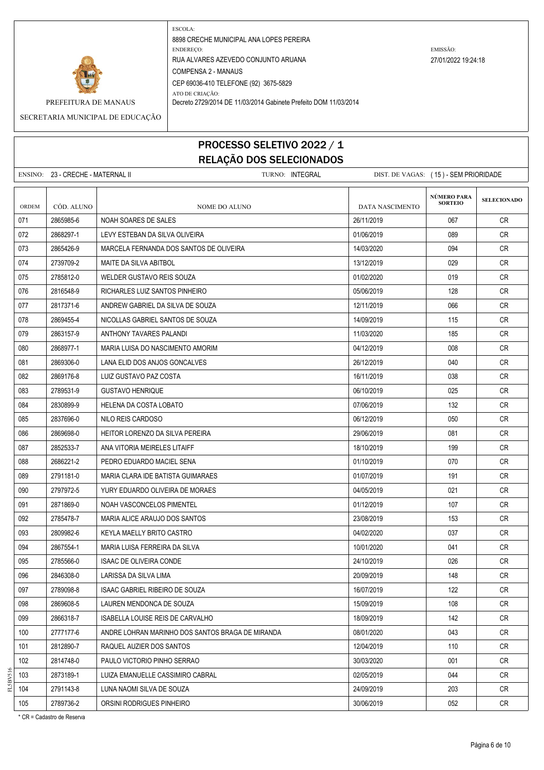

PREFEITURA DE MANAUS Decreto 2729/2014 DE 11/03/2014 Gabinete Prefeito DOM 11/03/2014

SECRETARIA MUNICIPAL DE EDUCAÇÃO

## PROCESSO SELETIVO 2022 / 1 RELAÇÃO DOS SELECIONADOS

ENSINO: 23 - CRECHE - MATERNAL II TURNO: INTEGRAL DIST. DE VAGAS: ( 15 ) - SEM PRIORIDADE **SELECIONADO** ORDEM CÓD. ALUNO **NOME DO ALUNO** NOME DO ALUNO DATA NASCIMENTO 071 2865985-6 NOAH SOARES DE SALES 26/11/2019 CR 072 2868297-1 LEVY ESTEBAN DA SILVA OLIVEIRA 01/06/2019 089 CR 073 2865426-9 MARCELA FERNANDA DOS SANTOS DE OLIVEIRA 14/03/2020 14/03/2020 094 CR 074 2739709-2 MAITE DA SILVA ABITBOL 13/12/2019 | 13/12/2019 | 029 | CR 075 2785812-0 WELDER GUSTAVO REIS SOUZA 01/02/2020 019 CR 076 2816548-9 RICHARLES LUIZ SANTOS PINHEIRO 05/06/2019 CR 077 2817371-6 ANDREW GABRIEL DA SILVA DE SOUZA 12000 12/11/2019 12/11/2019 066 CR 078 2869455-4 NICOLLAS GABRIEL SANTOS DE SOUZA 14/09/2019 11/09/2019 115 CR 079 2863157-9 ANTHONY TAVARES PALANDI 11/03/2020 185 CR 080 2868977-1 MARIA LUISA DO NASCIMENTO AMORIM 04/12/2019 CR 081 2669306-0 LANA ELID DOS ANJOS GONCALVES 26/12/2019 26/12/2019 26/12/2019 26/2019 082 2869176-8 LUIZ GUSTAVO PAZ COSTA 16/11/2019 CR 083 2789531-9 GUSTAVO HENRIQUE 06/10/2019 025 CR 084 2830899-9 HELENA DA COSTA LOBATO 07/06/2019 CR 085 2837696-0 NILO REIS CARDOSO 06/12/2019 050 CR 086 2869698-0 HEITOR LORENZO DA SILVA PEREIRA 29/06/2019 CR 087 2852533-7 ANA VITORIA MEIRELES LITAIFF 18/10/2019 199 CR 088 2686221-2 PEDRO EDUARDO MACIEL SENA 01/10/2019 070 070 CR 089 2791181-0 MARIA CLARA IDE BATISTA GUIMARAES 01/07/2019 191 CR 090 2797972-5 VURY EDUARDO OLIVEIRA DE MORAES 04/05/2019 CR 091 2871869-0 NOAH VASCONCELOS PIMENTEL 01/12/2019 107 CR 092 2785478-7 MARIA ALICE ARAUJO DOS SANTOS 23/08/2019 23/08/2019 153 CR 093 2809982-6 KEYLA MAELLY BRITO CASTRO 04/02/2020 037 CR 094 2867554-1 | MARIA LUISA FERREIRA DA SILVA 1000 1000 | 10/01/2020 | 041 | CR 095 | 2785566-0 | ISAAC DE OLIVEIRA CONDE | 24/10/2019 CR 096 2846308-0 LARISSA DA SILVA LIMA 2010 2010 2010 20109/2019 148 CR 097 2789098-8 ISAAC GABRIEL RIBEIRO DE SOUZA 16/07/2019 122 CR 098 2869608-5 LAUREN MENDONCA DE SOUZA 15/09/2019 CR 099 2866318-7 ISABELLA LOUISE REIS DE CARVALHO 18/09/2019 142 CR 100 2777177-6 ANDRE LOHRAN MARINHO DOS SANTOS BRAGA DE MIRANDA | 08/01/2020 | 043 CR 101 2812890-7 RAQUEL AUZIER DOS SANTOS 12/04/2019 110 CR 102 2814748-0 PAULO VICTORIO PINHO SERRAO 30/03/2020 30/03/2020 30/03/2020 30/03 103 2873189-1 LUIZA EMANUELLE CASSIMIRO CABRAL 02/05/2019 044 CR 104 2791143-8 LUNA NAOMI SILVA DE SOUZA 24/09/2019 | 24/09/2019 | 203 | CR 105 2789736-2 ORSINI RODRIGUES PINHEIRO 30/06/2019 052 CR **NÚMERO PARA SORTEIO**

\* CR = Cadastro de Reserva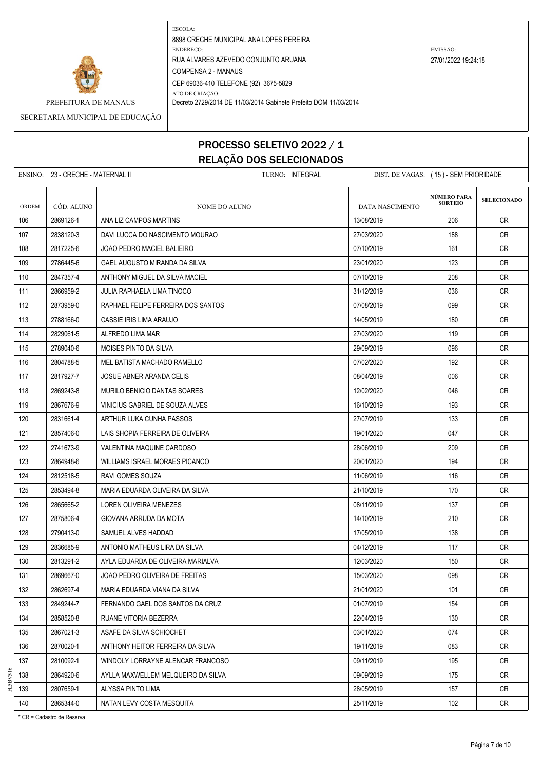

PREFEITURA DE MANAUS Decreto 2729/2014 DE 11/03/2014 Gabinete Prefeito DOM 11/03/2014

SECRETARIA MUNICIPAL DE EDUCAÇÃO

### PROCESSO SELETIVO 2022 / 1 RELAÇÃO DOS SELECIONADOS

ENSINO: 23 - CRECHE - MATERNAL II TURNO: INTEGRAL DIST. DE VAGAS: ( 15 ) - SEM PRIORIDADE **SELECIONADO** ORDEM CÓD. ALUNO **NOME DO ALUNO** NOME DO ALUNO DATA NASCIMENTO 106 2869126-1 ANA LIZ CAMPOS MARTINS 13/08/2019 206 CR 107 2838120-3 DAVI LUCCA DO NASCIMENTO MOURAO 27/03/2020 188 CR 108 2817225-6 JOAO PEDRO MACIEL BALIEIRO 07/10/2019 161 CR 109 2786445-6 GAEL AUGUSTO MIRANDA DA SILVA 23/01/2020 23/01/2020 123 CR 110 2847357-4 ANTHONY MIGUEL DA SILVA MACIEL CONTRACTED ASSOCIATED AND RESERVE ON A LOT AND RESERVE OR CREATED 111 2866959-2 JULIA RAPHAELA LIMA TINOCO 31/12/2019 036 CR 112 2873959-0 RAPHAEL FELIPE FERREIRA DOS SANTOS NELLES EN LOTIOS/2019 (2019 099 CR 113 2788166-0 CASSIE IRIS I IMA ARAUJO 14/05/2019 14/05/2019 180 CR 114 2829061-5 ALFREDO LIMA MAR 27/03/2020 119 CR 115 2789040-6 MOISES PINTO DA SILVA 29/09/2019 096 CR 116 2804788-5 MEL BATISTA MACHADO RAMELLO 07/02/2020 192 CR 117 2817927-7 JOSUE ABNER ARANDA CELIS 08/04/2019 006 CR 118 2869243-8 MURILO BENICIO DANTAS SOARES 12020 12/02/2020 - 12/02/2020 12/03/2020 CR 119 2867676-9 VINICIUS GABRIEL DE SOUZA ALVES 16/10/2019 193 CR 120 2831661-4 ARTHUR LUKA CUNHA PASSOS 2000 27/07/2019 133 CR 121 2857406-0 LAIS SHOPIA FERREIRA DE OLIVEIRA 1990 1990 1990 19901/2020 19901/2020 200 201 CR 122 2741673-9 VALENTINA MAQUINE CARDOSO 28/06/2019 209 CR 123 2864948-6 WILLIAMS ISRAEL MORAES PICANCO 2000 20001/2020 2001/2020 2001/2020 124 2812518-5 RAVI GOMES SOUZA 11/06/2019 116 CR 125 2853494-8 | MARIA EDUARDA OLIVEIRA DA SILVA 21/10/2019 | 21/10/2019 | 21/10/2019 | 21/10 126 2865665-2 LOREN OLIVEIRA MENEZES 08/11/2019 137 CR 127 2875806-4 GIOVANA ARRUDA DA MOTA 14/10/2019 14/10/2019 210 CR 128 2790413-0 SAMUEL ALVES HADDAD 17/05/2019 138 CR 129 2836685-9 ANTONIO MATHEUS LIRA DA SILVA 04/12/2019 117 CR 130 2813291-2 AYLA EDUARDA DE OLIVEIRA MARIALVA 12020 12/03/2020 150 150 CR 131 2869667-0 JOAO PEDRO OLIVEIRA DE FREITAS 1503/2020 15/03/2020 - 15/03/2020 - 15/03/2020 15/03/20 132 2862697-4 | MARIA EDUARDA VIANA DA SILVA 21 21/01/2020 | 101 | CR 133 2849244-7 FERNANDO GAEL DOS SANTOS DA CRUZ 01/07/2019 154 CR 134 2858520-8 RUANE VITORIA BEZERRA 22/04/2019 130 CR 135 2867021-3 ASAFE DA SILVA SCHIOCHET ASAFE ON CREATING CREATING A LOSINIZO 20 CREATING CREATING CREATING CRE 136 2870020-1 ANTHONY HEITOR FERREIRA DA SILVA 19/11/2019 083 CR 137 2810092-1 WINDOLY LORRAYNE ALENCAR FRANCOSO 09/11/2019 195 CR 138 2864920-6 AYLLA MAXWELLEM MELQUEIRO DA SILVA 09/09/2019 175 CR 139 | 2807659-1 | ALYSSA PINTO LIMA | 28/05/2019 | 157 | CR 140 2865344-0 NATAN LEVY COSTA MESQUITA 25/11/2019 25/11/2019 25/11/2019 26/5344-0 R **NÚMERO PARA SORTEIO**

\* CR = Cadastro de Reserva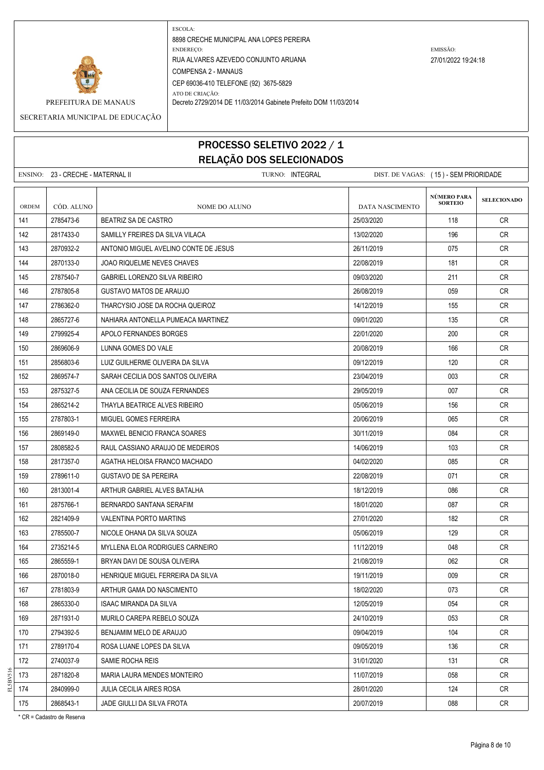

PREFEITURA DE MANAUS Decreto 2729/2014 DE 11/03/2014 Gabinete Prefeito DOM 11/03/2014

SECRETARIA MUNICIPAL DE EDUCAÇÃO

## PROCESSO SELETIVO 2022 / 1 RELAÇÃO DOS SELECIONADOS

ENSINO: 23 - CRECHE - MATERNAL II TURNO: INTEGRAL DIST. DE VAGAS: ( 15 ) - SEM PRIORIDADE **SELECIONADO** ORDEM CÓD. ALUNO **NOME DO ALUNO** NOME DO ALUNO DATA NASCIMENTO 141 2785473-6 BEATRIZ SA DE CASTRO 25/03/2020 118 CR 142 2817433-0 SAMILLY FREIRES DA SILVA VILACA 196 CR 13/02/2020 196 CR 143 2870932-2 ANTONIO MIGUEL AVELINO CONTE DE JESUS | 26/11/2019 | 075 | CR 144 2870133-0 JOAO RIQUELME NEVES CHAVES 22 22/08/2019 181 CR 145 2787540-7 GABRIEL LORENZO SILVA RIBEIRO 09/03/2020 211 CR 146 2787805-8 GUSTAVO MATOS DE ARAUJO 26/08/2019 059 CR 147 2786362-0 THARCYSIO JOSE DA ROCHA QUEIROZ 1400 14/12/2019 155 CR 148 2865727-6 NAHIARA ANTONELLA PUMEACA MARTINEZ 09/01/2020 135 CR 149 2799925-4 APOLO FERNANDES BORGES 22/01/2020 200 CR 150 2869606-9 LUNNA GOMES DO VALE 20/08/2019 166 CR 151 2856803-6 LUIZ GUILHERME OLIVEIRA DA SILVA 09/12/2019 120 CR 152 2869574-7 SARAH CECILIA DOS SANTOS OLIVEIRA 23/04/2019 | 23/04/2019 | 23/04/2019 | 23/04/2019 153 2875327-5 ANA CECILIA DE SOUZA FERNANDES 29/05/2019 007 CR 154 2865214-2 THAYLA BEATRICE ALVES RIBEIRO NELL'ALLO DE LA CONTENTINATION DESCOGIO NELL'ALLO CRUITA CONTENTIN 155 2787803-1 MIGUEL GOMES FERREIRA 2006 2006/2019 20/06/2019 200787803-1 065 CR 156 2869149-0 MAXWEL BENICIO FRANCA SOARES 30/11/2019 084 CR 157 2808582-5 RAUL CASSIANO ARAUJO DE MEDEIROS 14/06/2019 103 CR 158 2817357-0 AGATHA HELOISA FRANCO MACHADO 04/02/2020 085 CR 159 2789611-0 GUSTAVO DE SA PEREIRA 22/08/2019 22/08/2019 12789611-071 CR 160 2813001-4 | ARTHUR GABRIEL ALVES BATALHA 18/12 18/12/2019 | 18/12/2019 | 18/12 161 | 2875766-1 | BERNARDO SANTANA SERAFIM | 18/01/2020 | 18/01/2020 | 18/01/2020 162 2821409-9 VALENTINA PORTO MARTINS 27/01/2020 182 27/01/2020 182 CR 163 2785500-7 NICOLE OHANA DA SILVA SOUZA 05/06/2019 129 CR 164 2735214-5 MYLLENA ELOA RODRIGUES CARNEIRO 11/12/2019 048 CR 165 2865559-1 BRYAN DAVI DE SOUSA OLIVEIRA 21/08/2019 | 21/08/2019 | 062 | CR 166 2870018-0 HENRIQUE MIGUEL FERREIRA DA SILVA 19/11/2019 CR 167 2781803-9 | ARTHUR GAMA DO NASCIMENTO 18/02/2000 | 18/02/2020 | 18/02/2020 | 18/02 168 2865330-0 ISAAC MIRANDA DA SILVA 1200-000 ISO 2019 | 054 | CR 169 2871931-0 MURILO CAREPA REBELO SOUZA 24/10/2019 053 CR 170 2794392-5 BENJAMIM MELO DE ARAUJO 09/04/2019 104 CR 171 2789170-4 ROSA LUANE LOPES DA SILVA 09/05/2019 136 CR 172 2740037-9 SAMIE ROCHA REIS 31/01/2020 131 CR 173 2871820-8 MARIA LAURA MENDES MONTEIRO 11 11/07/2019 11/07/2019 058 CR 174 2840999-0 JULIA CECILIA AIRES ROSA 28/01/2020 28/01/2020 124 CR 175 2868543-1 JADE GIULLI DA SILVA FROTA 2007 2019 20/07/2019 20/07/2019 20:05 20:07 **NÚMERO PARA SORTEIO**

\* CR = Cadastro de Reserva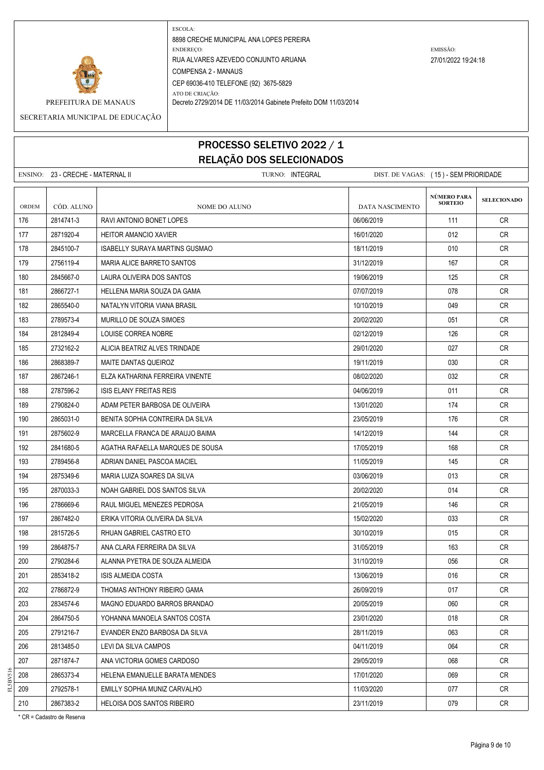

PREFEITURA DE MANAUS Decreto 2729/2014 DE 11/03/2014 Gabinete Prefeito DOM 11/03/2014

SECRETARIA MUNICIPAL DE EDUCAÇÃO

# PROCESSO SELETIVO 2022 / 1 RELAÇÃO DOS SELECIONADOS

ENSINO: 23 - CRECHE - MATERNAL II TURNO: INTEGRAL DIST. DE VAGAS: ( 15 ) - SEM PRIORIDADE **SELECIONADO** ORDEM CÓD. ALUNO **NOME DO ALUNO** NOME DO ALUNO DATA NASCIMENTO 176 2814741-3 RAVI ANTONIO BONET LOPES 176 2010 111 CR 177 2871920-4 HEITOR AMANCIO XAVIER 16/01/2020 16/01/2020 16/01/2020 16/01/2020 16/01/2020 178 2845100-7 ISABELLY SURAYA MARTINS GUSMAO 18/11/2019 | 18/11/2019 | 18/11/2019 | CR 179 2756119-4 MARIA ALICE BARRETO SANTOS 31/12/2019 31/12/2019 167 CR 180 2845667-0 LAURA OLIVEIRA DOS SANTOS 1990 1200 1200 1300 1400 1400 1400 1500 1500 171 171 171 1725 1300 125 181 2866727-1 HELLENA MARIA SOUZA DA GAMA 07/07/2019 078 CR 182 2865540-0 NATALYN VITORIA VIANA BRASIL 10/10/2019 049 CR 183 2789573-4 MURILLO DE SOUZA SIMOES 2002 2002 2002/2020 12002/2020 201 CR 184 2812849-4 LOUISE CORREA NOBRE 02/12/2019 126 CR 185 2732162-2 ALICIA BEATRIZ ALVES TRINDADE 29/01/2020 027 CR 186 2868389-7 MAITE DANTAS QUEIROZ 19/11/2019 030 CR 187 2867246-1 ELZA KATHARINA FERREIRA VINENTE 08/02/2020 032 CR 188 2787596-2 ISIS ELANY FREITAS REIS 04/06/2019 011 CR 189 2790824-0 ADAM PETER BARBOSA DE OLIVEIRA 13/01/2020 13/01/2020 174 CR 190 2865031-0 BENITA SOPHIA CONTREIRA DA SILVA 23/05/2019 23/05/2019 176 28/05/2019 191 2875602-9 MARCELLA FRANCA DE ARAUJO BAIMA 14/12/2019 144 CR 192 2841680-5 AGATHA RAFAELLA MARQUES DE SOUSA 17/05/2019 168 17/05/2019 168 CR 193 2789456-8 ADRIAN DANIEL PASCOA MACIEL 11/05/2019 14/05/2019 145 CR 194 2875349-6 MARIA LUIZA SOARES DA SILVA 03/06/2019 013 CR 195 2870033-3 NOAH GABRIEL DOS SANTOS SILVA 2002 2002/2020 1014 CR 196 2786669-6 RAUL MIGUEL MENEZES PEDROSA 21/05/2019 146 CR 197 2867482-0 ERIKA VITORIA OLIVEIRA DA SILVA 15/02/2020 033 CR 198 2815726-5 RHUAN GABRIEL CASTRO ETO 30/10/2019 015 CR 199 2864875-7 ANA CLARA FERREIRA DA SILVA 31/05/2019 163 31/05/2019 163 CR 200 2790284-6 ALANNA PYETRA DE SOUZA ALMEIDA 31/10/2019 056 CR 201 2853418-2 ISIS ALMEIDA COSTA 13/06/2019 016 CR 202 2786872-9 THOMAS ANTHONY RIBEIRO GAMA 26/09/2019 017 CR 203 2834574-6 MAGNO EDUARDO BARROS BRANDAO 20/05/2019 060 CR 204 2864750-5 YOHANNA MANOELA SANTOS COSTA 23/01/2020 018 CR 205 2791216-7 EVANDER ENZO BARBOSA DA SILVA 28/11/2019 063 CR 206 2813485-0 LEVI DA SILVA CAMPOS 04/11/2019 064 CR 207 2871874-7 ANA VICTORIA GOMES CARDOSO 2007 29/05/2019 29/05/2019 29/05/2019 2007 208 2865373-4 HELENA EMANUELLE BARATA MENDES 17/01/2020 069 CR 209 209 2792578-1 EMILLY SOPHIA MUNIZ CARVALHO 11/03/2000 11/03/2020 2017 CR 210 2867383-2 HELOISA DOS SANTOS RIBEIRO 23/11/2019 079 CR **NÚMERO PARA SORTEIO**

\* CR = Cadastro de Reserva